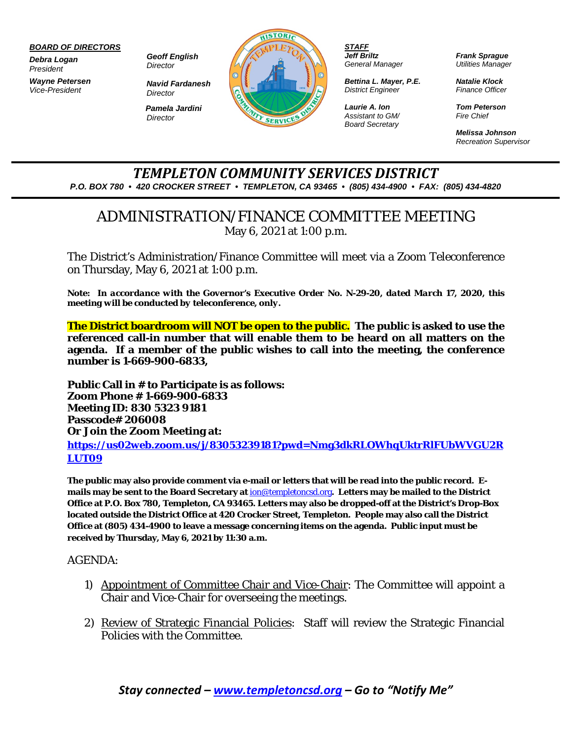## *BOARD OF DIRECTORS*

*Debra Logan President*

*Wayne Petersen Vice-President*

*Geoff English Director*

*Director Pamela Jardini Director*

*Navid Fardanesh*



*STAFF Jeff Briltz General Manager*

*Bettina L. Mayer, P.E. District Engineer*

*Laurie A. Ion Assistant to GM/ Board Secretary*  *Frank Sprague Utilities Manager*

*Natalie Klock Finance Officer*

*Tom Peterson Fire Chief*

*Melissa Johnson Recreation Supervisor*

## *TEMPLETON COMMUNITY SERVICES DISTRICT P.O. BOX 780 • 420 CROCKER STREET • TEMPLETON, CA 93465 • (805) 434-4900 • FAX: (805) 434-4820*

## ADMINISTRATION/FINANCE COMMITTEE MEETING May 6, 2021 at 1:00 p.m.

The District's Administration/Finance Committee will meet via a Zoom Teleconference on Thursday, May 6, 2021 at 1:00 p.m.

*Note: In accordance with the Governor's Executive Order No. N-29-20, dated March 17, 2020, this meeting will be conducted by teleconference, only.* 

**The District boardroom will NOT be open to the public. The public is asked to use the referenced call-in number that will enable them to be heard on all matters on the agenda. If a member of the public wishes to call into the meeting, the conference number is 1-669-900-6833,** 

**Public Call in # to Participate is as follows: Zoom Phone # 1-669-900-6833 Meeting ID: 830 5323 9181 Passcode# 206008 Or Join the Zoom Meeting at: [https://us02web.zoom.us/j/83053239181?pwd=Nmg3dkRLOWhqUktrRlFUbWVGU2R](https://us02web.zoom.us/j/83053239181?pwd=Nmg3dkRLOWhqUktrRlFUbWVGU2RLUT09) [LUT09](https://us02web.zoom.us/j/83053239181?pwd=Nmg3dkRLOWhqUktrRlFUbWVGU2RLUT09)**

**The public may also provide comment via e-mail or letters that will be read into the public record. Emails may be sent to the Board Secretary at** [ion@templetoncsd.org](mailto:ion@templetoncsd.org)**. Letters may be mailed to the District Office at P.O. Box 780, Templeton, CA 93465. Letters may also be dropped-off at the District's Drop-Box located outside the District Office at 420 Crocker Street, Templeton. People may also call the District Office at (805) 434-4900 to leave a message concerning items on the agenda. Public input must be received by Thursday, May 6, 2021 by 11:30 a.m.**

AGENDA:

- 1) Appointment of Committee Chair and Vice-Chair: The Committee will appoint a Chair and Vice-Chair for overseeing the meetings.
- 2) Review of Strategic Financial Policies: Staff will review the Strategic Financial Policies with the Committee.

*Stay connected – [www.templetoncsd.org](http://www.templetoncsd.org/) – Go to "Notify Me"*